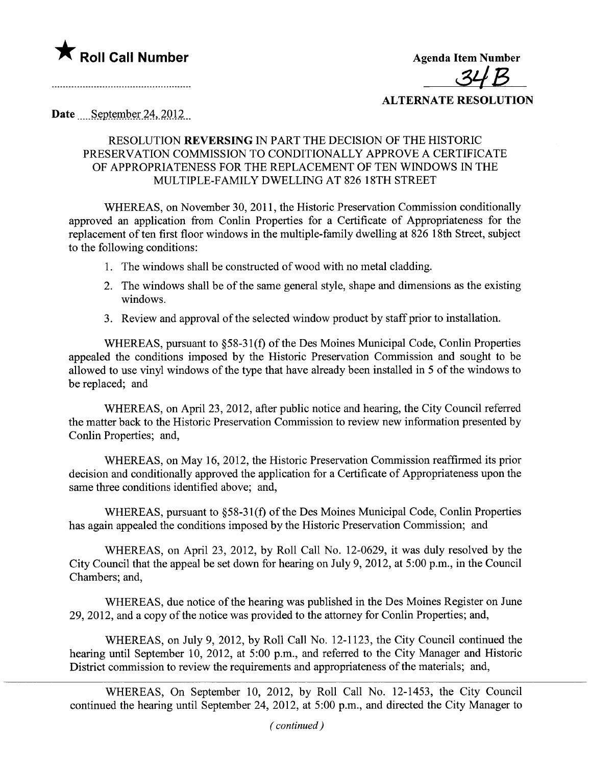

<u>34 B</u>

## ALTERNATE RESOLUTION

Date September 24, 2012

## RESOLUTION REVERSING IN PART THE DECISION OF THE HISTORIC PRESERVATION COMMISSION TO CONDITIONALLY APPROVE A CERTIFICATE OF APPROPRIATENESS FOR THE REPLACEMENT OF TEN WINDOWS IN THE MULTIPLE-FAMILY DWELLING AT 826 18TH STREET

WHEREAS, on November 30,2011, the Historic Preservation Commission conditionally approved an application from Conlin Properties for a Certificate of Appropriateness for the replacement of ten first floor windows in the multiple-family dwelling at 826 18th Street, subject to the following conditions:

- 1. The windows shall be constructed of wood with no metal cladding.
- 2. The windows shall be of the same general style, shape and dimensions as the existing windows.
- 3. Review and approval of the selected window product by staff prior to installation.

WHEREAS, pursuant to §58-31(f) of the Des Moines Municipal Code, Conlin Properties appealed the conditions imposed by the Historic Preservation Commission and sought to be allowed to use vinyl windows of the type that have already been installed in 5 of the windows to be replaced; and

WHEREAS, on April 23, 2012, after public notice and hearing, the City Council referred the matter back to the Historic Preservation Commission to review new information presented by Conlin Properties; and,

WHEREAS, on May 16, 2012, the Historic Preservation Commission reaffrmed its prior decision and conditionally approved the application for a Certificate of Appropriateness upon the same three conditions identified above; and,

WHEREAS, pursuant to §58-31(f) of the Des Moines Municipal Code, Conlin Properties has again appealed the conditions imposed by the Historic Preservation Commission; and

WHEREAS, on April 23, 2012, by Roll Call No. 12-0629, it was duly resolved by the City Council that the appeal be set down for hearing on July 9,2012, at 5:00 p.m., in the Council Chambers; and,

WHEREAS, due notice of the hearing was published in the Des Moines Register on June 29,2012, and a copy of the notice was provided to the attorney for Conlin Properties; and,

WHEREAS, on July 9, 2012, by Roll Call No. 12-1123, the City Council continued the hearing until September 10, 2012, at 5:00 p.m., and referred to the City Manager and Historic District commission to review the requirements and appropriateness of the materials; and,

WHEREAS, On September 10, 2012, by Roll Call No. 12-1453, the City Council continued the hearing until September 24, 2012, at 5:00 p.m., and directed the City Manager to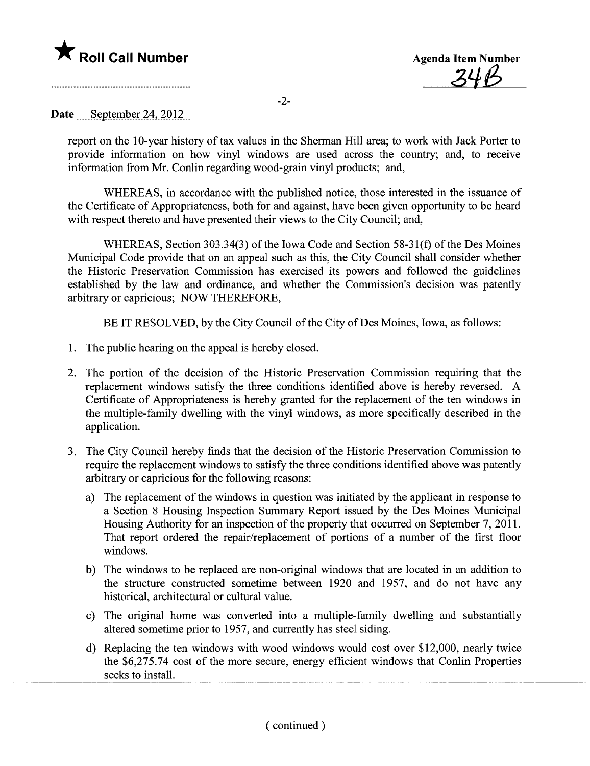

¿4ß

-2-

## Date September 24, 2012

report on the 10-year history of tax values in the Sherman Hill area; to work with Jack Porter to provide information on how vinyl windows are used across the country; and, to receive information from Mr. Conlin regarding wood-grain vinyl products; and,

WHEREAS, in accordance with the published notice, those interested in the issuance of the Certificate of Appropriateness, both for and against, have been given opportunity to be heard with respect thereto and have presented their views to the City Council; and,

WHEREAS, Section 303.34(3) of the Iowa Code and Section 58-31(f) of the Des Moines Municipal Code provide that on an appeal such as this, the City Council shall consider whether the Historic Preservation Commission has exercised its powers and followed the guidelines established by the law and ordinance, and whether the Commission's decision was patently arbitrary or capricious; NOW THEREFORE,

BE IT RESOLVED, by the City Council of the City of Des Moines, Iowa, as follows:

- 1. The public hearing on the appeal is hereby closed.
- 2. The portion of the decision of the Historic Preservation Commission requiring that the replacement windows satisfy the three conditions identified above is hereby reversed. A Certificate of Appropriateness is hereby granted for the replacement of the ten windows in the multiple-family dwelling with the vinyl windows, as more specifically described in the application.
- 3. The City Council hereby finds that the decision of the Historic Preservation Commission to require the replacement windows to satisfy the three conditions identified above was patently arbitrary or capricious for the following reasons:
	- a) The replacement of the windows in question was initiated by the applicant in response to a Section 8 Housing Inspection Summary Report issued by the Des Moines Municipal Housing Authority for an inspection of the property that occurred on September 7,2011. That report ordered the repair/replacement of portions of a number of the first floor windows.
	- b) The windows to be replaced are non-original windows that are located in an addition to the structure constructed sometime between 1920 and 1957, and do not have any historical, architectural or cultural value.
	- c) The original home was converted into a multiple-family dwelling and substantially altered sometime prior to 1957, and currently has steel siding.
	- d) Replacing the ten windows with wood windows would cost over \$12,000, nearly twice the \$6,275.74 cost of the more secure, energy efficient windows that Conlin Properties seeks to install.